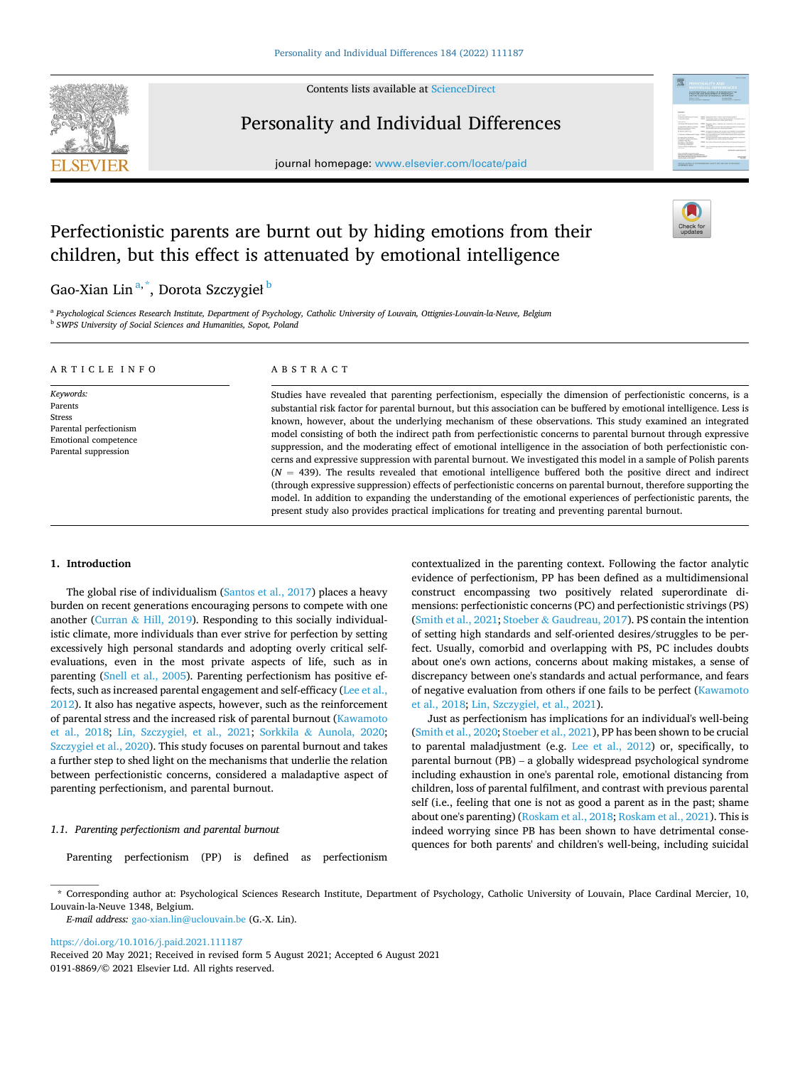

Contents lists available at [ScienceDirect](www.sciencedirect.com/science/journal/01918869)

## Personality and Individual Differences

journal homepage: [www.elsevier.com/locate/paid](https://www.elsevier.com/locate/paid)



# Perfectionistic parents are burnt out by hiding emotions from their children, but this effect is attenuated by emotional intelligence

## Gao-Xian Lin<sup>a,\*</sup>, Dorota Szczygieł <sup>b</sup>

<sup>a</sup> *Psychological Sciences Research Institute, Department of Psychology, Catholic University of Louvain, Ottignies-Louvain-la-Neuve, Belgium* <sup>b</sup> *SWPS University of Social Sciences and Humanities, Sopot, Poland* 

| ARTICLE INFO                                                                                             | ABSTRACT                                                                                                                                                                                                                                                                                                                                                                                                                                                                                                                                                                                                                                                                                                                                                                                                                                                                                                                                                                                                                                                               |  |  |  |
|----------------------------------------------------------------------------------------------------------|------------------------------------------------------------------------------------------------------------------------------------------------------------------------------------------------------------------------------------------------------------------------------------------------------------------------------------------------------------------------------------------------------------------------------------------------------------------------------------------------------------------------------------------------------------------------------------------------------------------------------------------------------------------------------------------------------------------------------------------------------------------------------------------------------------------------------------------------------------------------------------------------------------------------------------------------------------------------------------------------------------------------------------------------------------------------|--|--|--|
| Keywords:<br>Parents<br>Stress<br>Parental perfectionism<br>Emotional competence<br>Parental suppression | Studies have revealed that parenting perfectionism, especially the dimension of perfectionistic concerns, is a<br>substantial risk factor for parental burnout, but this association can be buffered by emotional intelligence. Less is<br>known, however, about the underlying mechanism of these observations. This study examined an integrated<br>model consisting of both the indirect path from perfectionistic concerns to parental burnout through expressive<br>suppression, and the moderating effect of emotional intelligence in the association of both perfectionistic con-<br>cerns and expressive suppression with parental burnout. We investigated this model in a sample of Polish parents<br>$(N = 439)$ . The results revealed that emotional intelligence buffered both the positive direct and indirect<br>(through expressive suppression) effects of perfectionistic concerns on parental burnout, therefore supporting the<br>model. In addition to expanding the understanding of the emotional experiences of perfectionistic parents, the |  |  |  |

present study also provides practical implications for treating and preventing parental burnout.

## **1. Introduction**

The global rise of individualism ([Santos et al., 2017](#page-5-0)) places a heavy burden on recent generations encouraging persons to compete with one another (Curran & [Hill, 2019](#page-5-0)). Responding to this socially individualistic climate, more individuals than ever strive for perfection by setting excessively high personal standards and adopting overly critical selfevaluations, even in the most private aspects of life, such as in parenting [\(Snell et al., 2005\)](#page-5-0). Parenting perfectionism has positive effects, such as increased parental engagement and self-efficacy ([Lee et al.,](#page-5-0)  [2012\)](#page-5-0). It also has negative aspects, however, such as the reinforcement of parental stress and the increased risk of parental burnout [\(Kawamoto](#page-5-0)  [et al., 2018](#page-5-0); Lin, Szczygieł[, et al., 2021](#page-5-0); Sorkkila & [Aunola, 2020](#page-5-0); Szczygieł [et al., 2020](#page-5-0)). This study focuses on parental burnout and takes a further step to shed light on the mechanisms that underlie the relation between perfectionistic concerns, considered a maladaptive aspect of parenting perfectionism, and parental burnout.

#### *1.1. Parenting perfectionism and parental burnout*

Parenting perfectionism (PP) is defined as perfectionism

contextualized in the parenting context. Following the factor analytic evidence of perfectionism, PP has been defined as a multidimensional construct encompassing two positively related superordinate dimensions: perfectionistic concerns (PC) and perfectionistic strivings (PS) ([Smith et al., 2021;](#page-5-0) Stoeber & [Gaudreau, 2017](#page-5-0)). PS contain the intention of setting high standards and self-oriented desires/struggles to be perfect. Usually, comorbid and overlapping with PS, PC includes doubts about one's own actions, concerns about making mistakes, a sense of discrepancy between one's standards and actual performance, and fears of negative evaluation from others if one fails to be perfect [\(Kawamoto](#page-5-0)  [et al., 2018; Lin, Szczygie](#page-5-0)ł, et al., 2021).

Just as perfectionism has implications for an individual's well-being ([Smith et al., 2020; Stoeber et al., 2021](#page-5-0)), PP has been shown to be crucial to parental maladjustment (e.g. [Lee et al., 2012\)](#page-5-0) or, specifically, to parental burnout (PB) – a globally widespread psychological syndrome including exhaustion in one's parental role, emotional distancing from children, loss of parental fulfilment, and contrast with previous parental self (i.e., feeling that one is not as good a parent as in the past; shame about one's parenting) ([Roskam et al., 2018; Roskam et al., 2021\)](#page-5-0). This is indeed worrying since PB has been shown to have detrimental consequences for both parents' and children's well-being, including suicidal

<https://doi.org/10.1016/j.paid.2021.111187>

<sup>\*</sup> Corresponding author at: Psychological Sciences Research Institute, Department of Psychology, Catholic University of Louvain, Place Cardinal Mercier, 10, Louvain-la-Neuve 1348, Belgium.

*E-mail address:* [gao-xian.lin@uclouvain.be](mailto:gao-xian.lin@uclouvain.be) (G.-X. Lin).

<sup>0191-8869/© 2021</sup> Elsevier Ltd. All rights reserved. Received 20 May 2021; Received in revised form 5 August 2021; Accepted 6 August 2021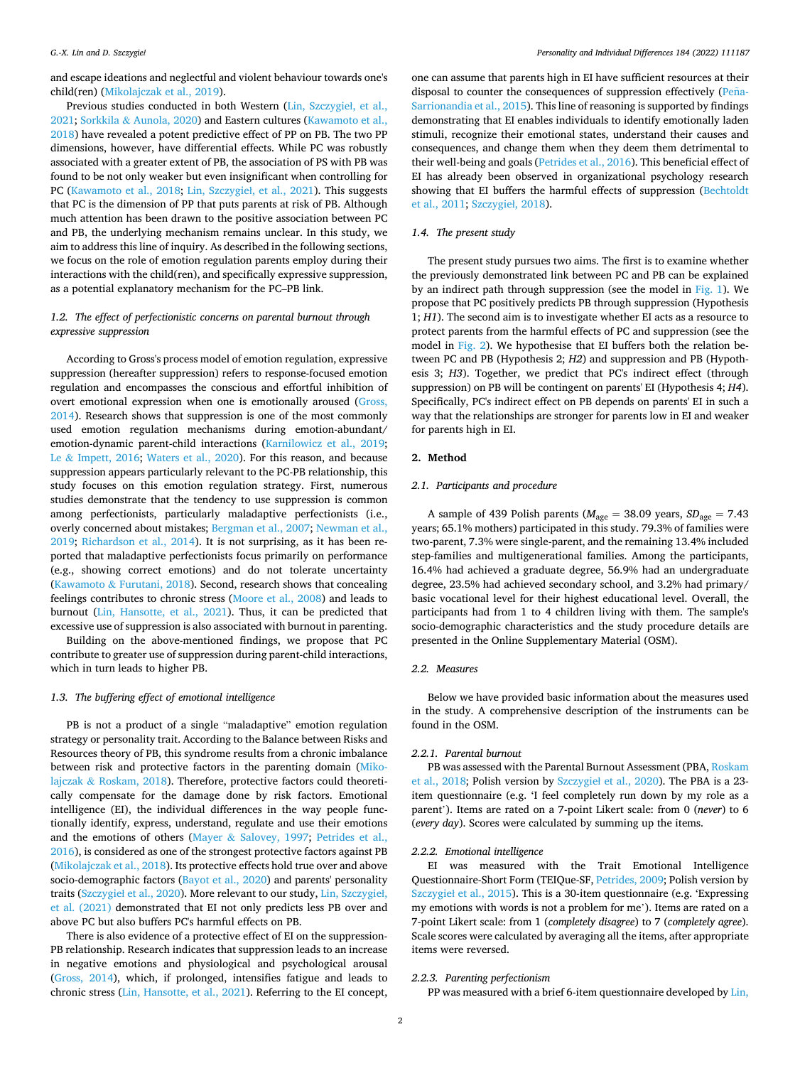and escape ideations and neglectful and violent behaviour towards one's child(ren) [\(Mikolajczak et al., 2019](#page-5-0)).

Previous studies conducted in both Western [\(Lin, Szczygie](#page-5-0)ł, et al., [2021;](#page-5-0) Sorkkila & [Aunola, 2020](#page-5-0)) and Eastern cultures [\(Kawamoto et al.,](#page-5-0)  [2018\)](#page-5-0) have revealed a potent predictive effect of PP on PB. The two PP dimensions, however, have differential effects. While PC was robustly associated with a greater extent of PB, the association of PS with PB was found to be not only weaker but even insignificant when controlling for PC ([Kawamoto et al., 2018](#page-5-0); [Lin, Szczygie](#page-5-0)ł, et al., 2021). This suggests that PC is the dimension of PP that puts parents at risk of PB. Although much attention has been drawn to the positive association between PC and PB, the underlying mechanism remains unclear. In this study, we aim to address this line of inquiry. As described in the following sections, we focus on the role of emotion regulation parents employ during their interactions with the child(ren), and specifically expressive suppression, as a potential explanatory mechanism for the PC–PB link.

## *1.2. The effect of perfectionistic concerns on parental burnout through expressive suppression*

According to Gross's process model of emotion regulation, expressive suppression (hereafter suppression) refers to response-focused emotion regulation and encompasses the conscious and effortful inhibition of overt emotional expression when one is emotionally aroused [\(Gross,](#page-5-0)  [2014\)](#page-5-0). Research shows that suppression is one of the most commonly used emotion regulation mechanisms during emotion-abundant/ emotion-dynamic parent-child interactions ([Karnilowicz et al., 2019](#page-5-0); Le & [Impett, 2016](#page-5-0); [Waters et al., 2020\)](#page-5-0). For this reason, and because suppression appears particularly relevant to the PC-PB relationship, this study focuses on this emotion regulation strategy. First, numerous studies demonstrate that the tendency to use suppression is common among perfectionists, particularly maladaptive perfectionists (i.e., overly concerned about mistakes; [Bergman et al., 2007](#page-5-0); [Newman et al.,](#page-5-0)  [2019;](#page-5-0) [Richardson et al., 2014](#page-5-0)). It is not surprising, as it has been reported that maladaptive perfectionists focus primarily on performance (e.g., showing correct emotions) and do not tolerate uncertainty (Kawamoto & [Furutani, 2018\)](#page-5-0). Second, research shows that concealing feelings contributes to chronic stress [\(Moore et al., 2008\)](#page-5-0) and leads to burnout [\(Lin, Hansotte, et al., 2021](#page-5-0)). Thus, it can be predicted that excessive use of suppression is also associated with burnout in parenting.

Building on the above-mentioned findings, we propose that PC contribute to greater use of suppression during parent-child interactions, which in turn leads to higher PB.

## *1.3. The buffering effect of emotional intelligence*

PB is not a product of a single "maladaptive" emotion regulation strategy or personality trait. According to the Balance between Risks and Resources theory of PB, this syndrome results from a chronic imbalance between risk and protective factors in the parenting domain [\(Miko](#page-5-0)lajczak & [Roskam, 2018](#page-5-0)). Therefore, protective factors could theoretically compensate for the damage done by risk factors. Emotional intelligence (EI), the individual differences in the way people functionally identify, express, understand, regulate and use their emotions and the emotions of others (Mayer & [Salovey, 1997;](#page-5-0) [Petrides et al.,](#page-5-0)  [2016\)](#page-5-0), is considered as one of the strongest protective factors against PB ([Mikolajczak et al., 2018\)](#page-5-0). Its protective effects hold true over and above socio-demographic factors ([Bayot et al., 2020\)](#page-5-0) and parents' personality traits (Szczygieł [et al., 2020](#page-5-0)). More relevant to our study, [Lin, Szczygie](#page-5-0)ł, [et al. \(2021\)](#page-5-0) demonstrated that EI not only predicts less PB over and above PC but also buffers PC's harmful effects on PB.

There is also evidence of a protective effect of EI on the suppression-PB relationship. Research indicates that suppression leads to an increase in negative emotions and physiological and psychological arousal ([Gross, 2014](#page-5-0)), which, if prolonged, intensifies fatigue and leads to chronic stress [\(Lin, Hansotte, et al., 2021](#page-5-0)). Referring to the EI concept,

one can assume that parents high in EI have sufficient resources at their disposal to counter the consequences of suppression effectively (Peña-[Sarrionandia et al., 2015](#page-5-0)). This line of reasoning is supported by findings demonstrating that EI enables individuals to identify emotionally laden stimuli, recognize their emotional states, understand their causes and consequences, and change them when they deem them detrimental to their well-being and goals [\(Petrides et al., 2016](#page-5-0)). This beneficial effect of EI has already been observed in organizational psychology research showing that EI buffers the harmful effects of suppression ([Bechtoldt](#page-5-0)  [et al., 2011; Szczygie](#page-5-0)ł, 2018).

#### *1.4. The present study*

The present study pursues two aims. The first is to examine whether the previously demonstrated link between PC and PB can be explained by an indirect path through suppression (see the model in [Fig. 1](#page-2-0)). We propose that PC positively predicts PB through suppression (Hypothesis 1; *H1*). The second aim is to investigate whether EI acts as a resource to protect parents from the harmful effects of PC and suppression (see the model in [Fig. 2\)](#page-2-0). We hypothesise that EI buffers both the relation between PC and PB (Hypothesis 2; *H2*) and suppression and PB (Hypothesis 3; *H3*). Together, we predict that PC's indirect effect (through suppression) on PB will be contingent on parents' EI (Hypothesis 4; *H4*). Specifically, PC's indirect effect on PB depends on parents' EI in such a way that the relationships are stronger for parents low in EI and weaker for parents high in EI.

#### **2. Method**

#### *2.1. Participants and procedure*

A sample of 439 Polish parents ( $M_{\text{age}} = 38.09$  years,  $SD_{\text{age}} = 7.43$ years; 65.1% mothers) participated in this study. 79.3% of families were two-parent, 7.3% were single-parent, and the remaining 13.4% included step-families and multigenerational families. Among the participants, 16.4% had achieved a graduate degree, 56.9% had an undergraduate degree, 23.5% had achieved secondary school, and 3.2% had primary/ basic vocational level for their highest educational level. Overall, the participants had from 1 to 4 children living with them. The sample's socio-demographic characteristics and the study procedure details are presented in the Online Supplementary Material (OSM).

#### *2.2. Measures*

Below we have provided basic information about the measures used in the study. A comprehensive description of the instruments can be found in the OSM.

## *2.2.1. Parental burnout*

PB was assessed with the Parental Burnout Assessment (PBA, Roskam [et al., 2018](#page-5-0); Polish version by Szczygieł [et al., 2020\)](#page-5-0). The PBA is a 23 item questionnaire (e.g. 'I feel completely run down by my role as a parent'). Items are rated on a 7-point Likert scale: from 0 (*never*) to 6 (*every day*). Scores were calculated by summing up the items.

#### *2.2.2. Emotional intelligence*

EI was measured with the Trait Emotional Intelligence Questionnaire-Short Form (TEIQue-SF, [Petrides, 2009](#page-5-0); Polish version by Szczygieł [et al., 2015](#page-5-0)). This is a 30-item questionnaire (e.g. 'Expressing my emotions with words is not a problem for me'). Items are rated on a 7-point Likert scale: from 1 (*completely disagree*) to 7 (*completely agree*). Scale scores were calculated by averaging all the items, after appropriate items were reversed.

#### *2.2.3. Parenting perfectionism*

PP was measured with a brief 6-item questionnaire developed by [Lin,](#page-5-0)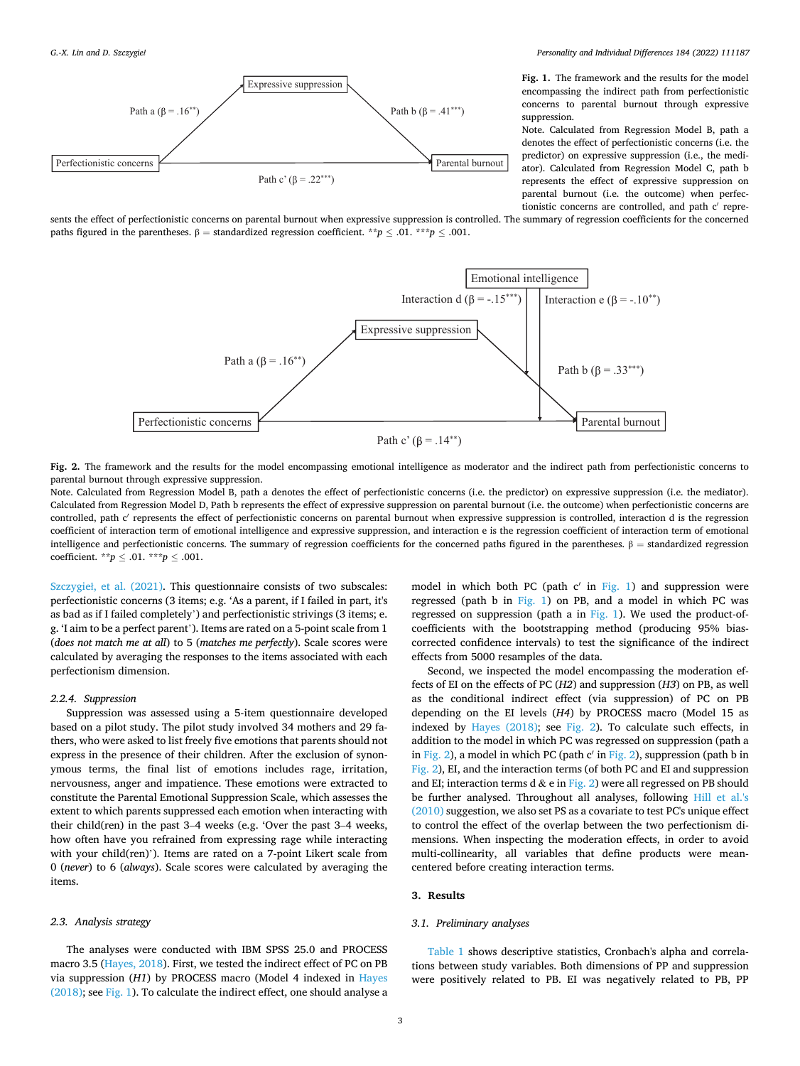<span id="page-2-0"></span>

*Personality and Individual Differences 184 (2022) 111187*

**Fig. 1.** The framework and the results for the model encompassing the indirect path from perfectionistic concerns to parental burnout through expressive suppression.

Note. Calculated from Regression Model B, path a denotes the effect of perfectionistic concerns (i.e. the predictor) on expressive suppression (i.e., the mediator). Calculated from Regression Model C, path b represents the effect of expressive suppression on parental burnout (i.e. the outcome) when perfectionistic concerns are controlled, and path c′ repre-

sents the effect of perfectionistic concerns on parental burnout when expressive suppression is controlled. The summary of regression coefficients for the concerned paths figured in the parentheses.  $β = standardized regression coefficient.$ <sup>\*\*</sup>*p*  $\leq .01$ . \*\*\**p*  $\leq .001$ .



**Fig. 2.** The framework and the results for the model encompassing emotional intelligence as moderator and the indirect path from perfectionistic concerns to parental burnout through expressive suppression.

Note. Calculated from Regression Model B, path a denotes the effect of perfectionistic concerns (i.e. the predictor) on expressive suppression (i.e. the mediator). Calculated from Regression Model D, Path b represents the effect of expressive suppression on parental burnout (i.e. the outcome) when perfectionistic concerns are controlled, path c' represents the effect of perfectionistic concerns on parental burnout when expressive suppression is controlled, interaction d is the regression coefficient of interaction term of emotional intelligence and expressive suppression, and interaction e is the regression coefficient of interaction term of emotional intelligence and perfectionistic concerns. The summary of regression coefficients for the concerned paths figured in the parentheses.  $\beta$  = standardized regression coefficient. \*\**p* ≤ .01. \*\*\**p* ≤ .001.

Szczygieł[, et al. \(2021\)](#page-5-0). This questionnaire consists of two subscales: perfectionistic concerns (3 items; e.g. 'As a parent, if I failed in part, it's as bad as if I failed completely') and perfectionistic strivings (3 items; e. g. 'I aim to be a perfect parent'). Items are rated on a 5-point scale from 1 (*does not match me at all*) to 5 (*matches me perfectly*). Scale scores were calculated by averaging the responses to the items associated with each perfectionism dimension.

#### *2.2.4. Suppression*

Suppression was assessed using a 5-item questionnaire developed based on a pilot study. The pilot study involved 34 mothers and 29 fathers, who were asked to list freely five emotions that parents should not express in the presence of their children. After the exclusion of synonymous terms, the final list of emotions includes rage, irritation, nervousness, anger and impatience. These emotions were extracted to constitute the Parental Emotional Suppression Scale, which assesses the extent to which parents suppressed each emotion when interacting with their child(ren) in the past 3–4 weeks (e.g. 'Over the past 3–4 weeks, how often have you refrained from expressing rage while interacting with your child(ren)'). Items are rated on a 7-point Likert scale from 0 (*never*) to 6 (*always*). Scale scores were calculated by averaging the items.

#### *2.3. Analysis strategy*

The analyses were conducted with IBM SPSS 25.0 and PROCESS macro 3.5 ([Hayes, 2018](#page-5-0)). First, we tested the indirect effect of PC on PB via suppression (*H1*) by PROCESS macro (Model 4 indexed in [Hayes](#page-5-0)  [\(2018\);](#page-5-0) see Fig. 1). To calculate the indirect effect, one should analyse a model in which both PC (path  $c'$  in Fig. 1) and suppression were regressed (path b in Fig. 1) on PB, and a model in which PC was regressed on suppression (path a in Fig. 1). We used the product-ofcoefficients with the bootstrapping method (producing 95% biascorrected confidence intervals) to test the significance of the indirect effects from 5000 resamples of the data.

Second, we inspected the model encompassing the moderation effects of EI on the effects of PC (*H2*) and suppression (*H3*) on PB, as well as the conditional indirect effect (via suppression) of PC on PB depending on the EI levels (*H4*) by PROCESS macro (Model 15 as indexed by [Hayes \(2018\);](#page-5-0) see Fig. 2). To calculate such effects, in addition to the model in which PC was regressed on suppression (path a in Fig. 2), a model in which PC (path  $c'$  in Fig. 2), suppression (path b in Fig. 2), EI, and the interaction terms (of both PC and EI and suppression and EI; interaction terms d & e in Fig. 2) were all regressed on PB should be further analysed. Throughout all analyses, following [Hill et al.'s](#page-5-0)  [\(2010\)](#page-5-0) suggestion, we also set PS as a covariate to test PC's unique effect to control the effect of the overlap between the two perfectionism dimensions. When inspecting the moderation effects, in order to avoid multi-collinearity, all variables that define products were meancentered before creating interaction terms.

#### **3. Results**

### *3.1. Preliminary analyses*

[Table 1](#page-3-0) shows descriptive statistics, Cronbach's alpha and correlations between study variables. Both dimensions of PP and suppression were positively related to PB. EI was negatively related to PB, PP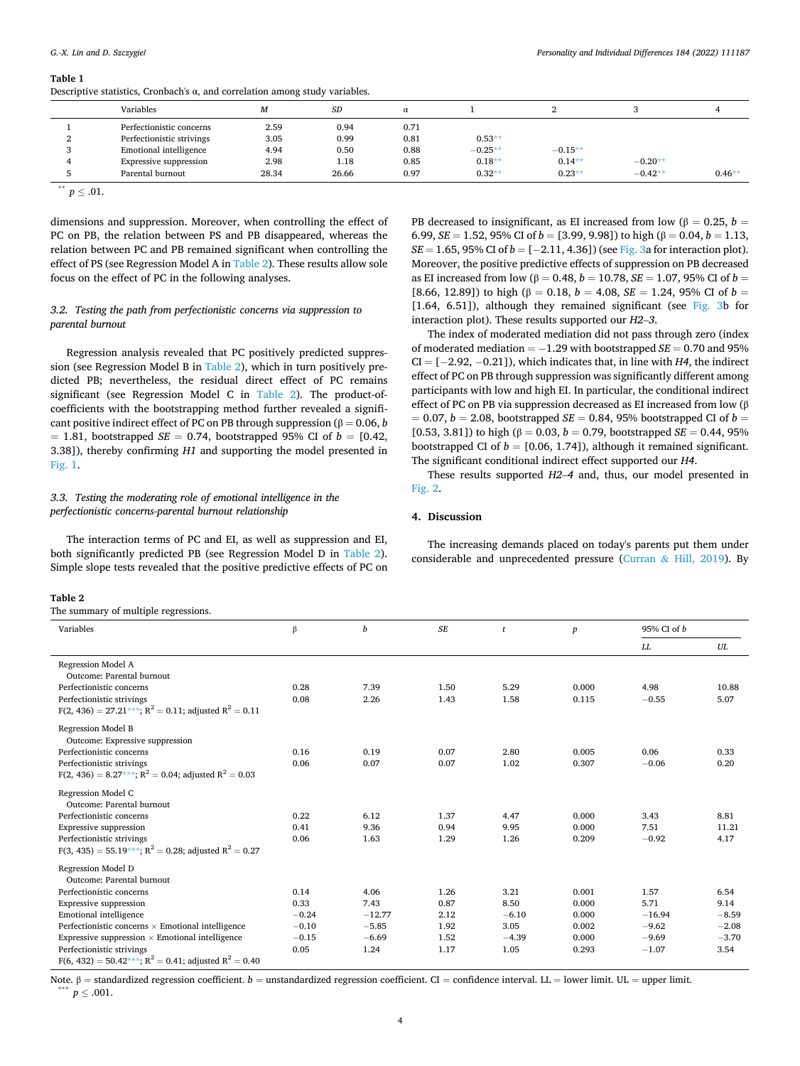<span id="page-3-0"></span>**Table 1** 

Descriptive statistics, Cronbach's  $\alpha$ , and correlation among study variables.

|                      | Variables                 | M     | <b>SD</b> |      |           |           |           |          |
|----------------------|---------------------------|-------|-----------|------|-----------|-----------|-----------|----------|
|                      | Perfectionistic concerns  | 2.59  | 0.94      | 0.71 |           |           |           |          |
|                      | Perfectionistic strivings | 3.05  | 0.99      | 0.81 | $0.53**$  |           |           |          |
| $\sim$               | Emotional intelligence    | 4.94  | 0.50      | 0.88 | $-0.25**$ | $-0.15**$ |           |          |
|                      | Expressive suppression    | 2.98  | 1.18      | 0.85 | $0.18**$  | $0.14**$  | $-0.20**$ |          |
|                      | Parental burnout          | 28.34 | 26.66     | 0.97 | $0.32**$  | $0.23**$  | $-0.42**$ | $0.46**$ |
| <b>State Control</b> |                           |       |           |      |           |           |           |          |

 $p < .01$ .

dimensions and suppression. Moreover, when controlling the effect of PC on PB, the relation between PS and PB disappeared, whereas the relation between PC and PB remained significant when controlling the effect of PS (see Regression Model A in Table 2). These results allow sole focus on the effect of PC in the following analyses.

## *3.2. Testing the path from perfectionistic concerns via suppression to parental burnout*

Regression analysis revealed that PC positively predicted suppression (see Regression Model B in Table 2), which in turn positively predicted PB; nevertheless, the residual direct effect of PC remains significant (see Regression Model C in Table 2). The product-ofcoefficients with the bootstrapping method further revealed a significant positive indirect effect of PC on PB through suppression ( $\beta = 0.06, b$  $= 1.81$ , bootstrapped *SE*  $= 0.74$ , bootstrapped 95% CI of  $b = [0.42,$ 3.38]), thereby confirming *H1* and supporting the model presented in [Fig. 1.](#page-2-0)

## *3.3. Testing the moderating role of emotional intelligence in the perfectionistic concerns-parental burnout relationship*

The interaction terms of PC and EI, as well as suppression and EI, both significantly predicted PB (see Regression Model D in Table 2). Simple slope tests revealed that the positive predictive effects of PC on

#### **Table 2**

The summary of multiple regressions.

PB decreased to insignificant, as EI increased from low ( $\beta = 0.25$ ,  $b =$ 6.99,  $SE = 1.52$ , 95% CI of  $b = [3.99, 9.98]$ ) to high ( $\beta = 0.04$ ,  $b = 1.13$ , *SE* = 1.65, 95% CI of *b* = [−2.11, 4.36]) (see [Fig. 3a](#page-4-0) for interaction plot). Moreover, the positive predictive effects of suppression on PB decreased as EI increased from low ( $β = 0.48$ ,  $b = 10.78$ ,  $SE = 1.07$ , 95% CI of  $b =$ [8.66, 12.89]) to high ( $β = 0.18$ ,  $b = 4.08$ ,  $SE = 1.24$ , 95% CI of  $b =$ [1.64, 6.51]), although they remained significant (see [Fig. 3](#page-4-0)b for interaction plot). These results supported our *H2*–*3*.

The index of moderated mediation did not pass through zero (index of moderated mediation = − 1.29 with bootstrapped *SE* = 0.70 and 95%  $CI = [-2.92, -0.21]$ , which indicates that, in line with  $H4$ , the indirect effect of PC on PB through suppression was significantly different among participants with low and high EI. In particular, the conditional indirect effect of PC on PB via suppression decreased as EI increased from low (β  $b = 0.07$ ,  $b = 2.08$ , bootstrapped *SE* = 0.84, 95% bootstrapped CI of  $b =$ [0.53, 3.81]) to high ( $β = 0.03$ ,  $b = 0.79$ , bootstrapped *SE* = 0.44, 95% bootstrapped CI of  $b = [0.06, 1.74]$ , although it remained significant. The significant conditional indirect effect supported our *H4*.

These results supported *H2*–*4* and, thus, our model presented in [Fig. 2.](#page-2-0)

#### **4. Discussion**

The increasing demands placed on today's parents put them under considerable and unprecedented pressure (Curran & [Hill, 2019\)](#page-5-0). By

| Variables                                                                   | β       | b        | SE   | t       | $\boldsymbol{p}$ | 95% CI of b |         |
|-----------------------------------------------------------------------------|---------|----------|------|---------|------------------|-------------|---------|
|                                                                             |         |          |      |         |                  | LL          | UL      |
| Regression Model A<br>Outcome: Parental burnout                             |         |          |      |         |                  |             |         |
| Perfectionistic concerns                                                    | 0.28    | 7.39     | 1.50 | 5.29    | 0.000            | 4.98        | 10.88   |
| Perfectionistic strivings                                                   | 0.08    | 2.26     | 1.43 | 1.58    | 0.115            | $-0.55$     | 5.07    |
| $F(2, 436) = 27.21***$ ; $R^2 = 0.11$ ; adjusted $R^2 = 0.11$               |         |          |      |         |                  |             |         |
| Regression Model B<br>Outcome: Expressive suppression                       |         |          |      |         |                  |             |         |
| Perfectionistic concerns                                                    | 0.16    | 0.19     | 0.07 | 2.80    | 0.005            | 0.06        | 0.33    |
| Perfectionistic strivings                                                   | 0.06    | 0.07     | 0.07 | 1.02    | 0.307            | $-0.06$     | 0.20    |
| $F(2, 436) = 8.27***; R^2 = 0.04;$ adjusted $R^2 = 0.03$                    |         |          |      |         |                  |             |         |
| Regression Model C<br>Outcome: Parental burnout                             |         |          |      |         |                  |             |         |
| Perfectionistic concerns                                                    | 0.22    | 6.12     | 1.37 | 4.47    | 0.000            | 3.43        | 8.81    |
| Expressive suppression                                                      | 0.41    | 9.36     | 0.94 | 9.95    | 0.000            | 7.51        | 11.21   |
| Perfectionistic strivings                                                   | 0.06    | 1.63     | 1.29 | 1.26    | 0.209            | $-0.92$     | 4.17    |
| $F(3, 435) = 55.19***; R^2 = 0.28;$ adjusted $R^2 = 0.27$                   |         |          |      |         |                  |             |         |
| Regression Model D                                                          |         |          |      |         |                  |             |         |
| Outcome: Parental burnout                                                   |         |          |      |         |                  |             |         |
| Perfectionistic concerns                                                    | 0.14    | 4.06     | 1.26 | 3.21    | 0.001            | 1.57        | 6.54    |
| Expressive suppression                                                      | 0.33    | 7.43     | 0.87 | 8.50    | 0.000            | 5.71        | 9.14    |
| Emotional intelligence                                                      | $-0.24$ | $-12.77$ | 2.12 | $-6.10$ | 0.000            | $-16.94$    | $-8.59$ |
| Perfectionistic concerns $\times$ Emotional intelligence                    | $-0.10$ | $-5.85$  | 1.92 | 3.05    | 0.002            | $-9.62$     | $-2.08$ |
| Expressive suppression $\times$ Emotional intelligence                      | $-0.15$ | $-6.69$  | 1.52 | $-4.39$ | 0.000            | $-9.69$     | $-3.70$ |
| Perfectionistic strivings                                                   | 0.05    | 1.24     | 1.17 | 1.05    | 0.293            | $-1.07$     | 3.54    |
| F(6, 432) = 50.42***; R <sup>2</sup> = 0.41; adjusted R <sup>2</sup> = 0.40 |         |          |      |         |                  |             |         |

Note. β = standardized regression coefficient. *b* = unstandardized regression coefficient. CI = confidence interval. LL = lower limit. UL = upper limit.  $W = \text{exp}(p \cdot \text{sin} \cdot \text{cos} \cdot \text{cos} \cdot \text{cos} \cdot \text{cos} \cdot \text{cos} \cdot \text{cos} \cdot \text{cos} \$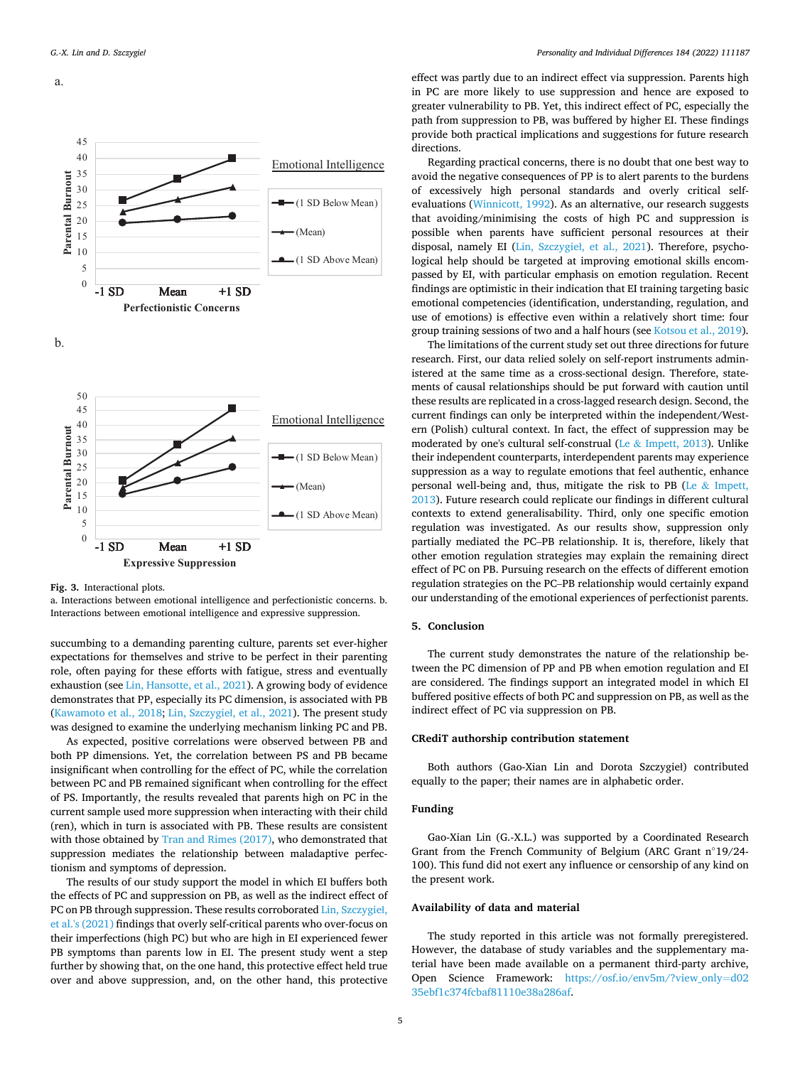<span id="page-4-0"></span>



**Fig. 3.** Interactional plots.

a. Interactions between emotional intelligence and perfectionistic concerns. b. Interactions between emotional intelligence and expressive suppression.

succumbing to a demanding parenting culture, parents set ever-higher expectations for themselves and strive to be perfect in their parenting role, often paying for these efforts with fatigue, stress and eventually exhaustion (see [Lin, Hansotte, et al., 2021\)](#page-5-0). A growing body of evidence demonstrates that PP, especially its PC dimension, is associated with PB ([Kawamoto et al., 2018; Lin, Szczygie](#page-5-0)ł, et al., 2021). The present study was designed to examine the underlying mechanism linking PC and PB.

As expected, positive correlations were observed between PB and both PP dimensions. Yet, the correlation between PS and PB became insignificant when controlling for the effect of PC, while the correlation between PC and PB remained significant when controlling for the effect of PS. Importantly, the results revealed that parents high on PC in the current sample used more suppression when interacting with their child (ren), which in turn is associated with PB. These results are consistent with those obtained by [Tran and Rimes \(2017\)](#page-5-0), who demonstrated that suppression mediates the relationship between maladaptive perfectionism and symptoms of depression.

The results of our study support the model in which EI buffers both the effects of PC and suppression on PB, as well as the indirect effect of PC on PB through suppression. These results corroborated [Lin, Szczygie](#page-5-0)ł, [et al.'s \(2021\)](#page-5-0) findings that overly self-critical parents who over-focus on their imperfections (high PC) but who are high in EI experienced fewer PB symptoms than parents low in EI. The present study went a step further by showing that, on the one hand, this protective effect held true over and above suppression, and, on the other hand, this protective

effect was partly due to an indirect effect via suppression. Parents high in PC are more likely to use suppression and hence are exposed to greater vulnerability to PB. Yet, this indirect effect of PC, especially the path from suppression to PB, was buffered by higher EI. These findings provide both practical implications and suggestions for future research directions.

Regarding practical concerns, there is no doubt that one best way to avoid the negative consequences of PP is to alert parents to the burdens of excessively high personal standards and overly critical selfevaluations [\(Winnicott, 1992\)](#page-5-0). As an alternative, our research suggests that avoiding/minimising the costs of high PC and suppression is possible when parents have sufficient personal resources at their disposal, namely EI (Lin, Szczygieł[, et al., 2021\)](#page-5-0). Therefore, psychological help should be targeted at improving emotional skills encompassed by EI, with particular emphasis on emotion regulation. Recent findings are optimistic in their indication that EI training targeting basic emotional competencies (identification, understanding, regulation, and use of emotions) is effective even within a relatively short time: four group training sessions of two and a half hours (see [Kotsou et al., 2019](#page-5-0)).

The limitations of the current study set out three directions for future research. First, our data relied solely on self-report instruments administered at the same time as a cross-sectional design. Therefore, statements of causal relationships should be put forward with caution until these results are replicated in a cross-lagged research design. Second, the current findings can only be interpreted within the independent/Western (Polish) cultural context. In fact, the effect of suppression may be moderated by one's cultural self-construal (Le  $&$  [Impett, 2013\)](#page-5-0). Unlike their independent counterparts, interdependent parents may experience suppression as a way to regulate emotions that feel authentic, enhance personal well-being and, thus, mitigate the risk to PB (Le  $&$  Impett, [2013\)](#page-5-0). Future research could replicate our findings in different cultural contexts to extend generalisability. Third, only one specific emotion regulation was investigated. As our results show, suppression only partially mediated the PC–PB relationship. It is, therefore, likely that other emotion regulation strategies may explain the remaining direct effect of PC on PB. Pursuing research on the effects of different emotion regulation strategies on the PC–PB relationship would certainly expand our understanding of the emotional experiences of perfectionist parents.

## **5. Conclusion**

The current study demonstrates the nature of the relationship between the PC dimension of PP and PB when emotion regulation and EI are considered. The findings support an integrated model in which EI buffered positive effects of both PC and suppression on PB, as well as the indirect effect of PC via suppression on PB.

### **CRediT authorship contribution statement**

Both authors (Gao-Xian Lin and Dorota Szczygieł) contributed equally to the paper; their names are in alphabetic order.

#### **Funding**

Gao-Xian Lin (G.-X.L.) was supported by a Coordinated Research Grant from the French Community of Belgium (ARC Grant n◦19/24- 100). This fund did not exert any influence or censorship of any kind on the present work.

#### **Availability of data and material**

The study reported in this article was not formally preregistered. However, the database of study variables and the supplementary material have been made available on a permanent third-party archive, Open Science Framework: [https://osf.io/env5m/?view\\_only](https://osf.io/env5m/?view_only=d0235ebf1c374fcbaf81110e38a286af)=d02 [35ebf1c374fcbaf81110e38a286af](https://osf.io/env5m/?view_only=d0235ebf1c374fcbaf81110e38a286af).